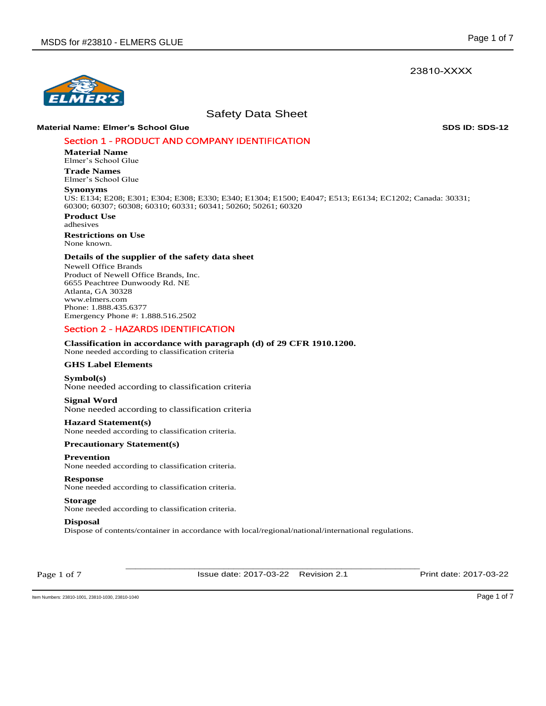## 23810-XXXX



Safety Data Sheet

## **Material Name: Elmer's School Glue SDS ID: SDS-12**

## Section 1 - PRODUCT AND COMPANY IDENTIFICATION

**Material Name** 

Elmer's School Glue **Trade Names** 

Elmer's School Glue

## **Synonyms**

US: E134; E208; E301; E304; E308; E330; E340; E1304; E1500; E4047; E513; E6134; EC1202; Canada: 30331; 60300; 60307; 60308; 60310; 60331; 60341; 50260; 50261; 60320

**Product Use**  adhesives **Restrictions on Use** None known.

## **Details of the supplier of the safety data sheet**

Newell Office Brands Product of Newell Office Brands, Inc. 6655 Peachtree Dunwoody Rd. NE Atlanta, GA 30328 www.elmers.com Phone: 1.888.435.6377 Emergency Phone #: 1.888.516.2502

## Section 2 - HAZARDS IDENTIFICATION

## **Classification in accordance with paragraph (d) of 29 CFR 1910.1200.**

None needed according to classification criteria

## **GHS Label Elements**

**Symbol(s)**  None needed according to classification criteria

# **Signal Word**

None needed according to classification criteria

#### **Hazard Statement(s)**

None needed according to classification criteria.

## **Precautionary Statement(s)**

#### **Prevention**

None needed according to classification criteria.

#### **Response**

None needed according to classification criteria.

## **Storage**

None needed according to classification criteria.

#### **Disposal**

Dispose of contents/container in accordance with local/regional/national/international regulations.

Page 1 of 7

\_\_\_\_\_\_\_\_\_\_\_\_\_\_\_\_\_\_\_\_\_\_\_\_\_\_\_\_\_\_\_\_\_\_\_\_\_\_\_\_\_\_\_\_\_\_\_\_\_\_\_\_\_\_\_\_\_\_\_\_ Issue date: 2017-03-22 Revision 2.1 Print date: 2017-03-22

Item Numbers: 23810-1001, 23810-1030, 23810-1040 Page 1 of 7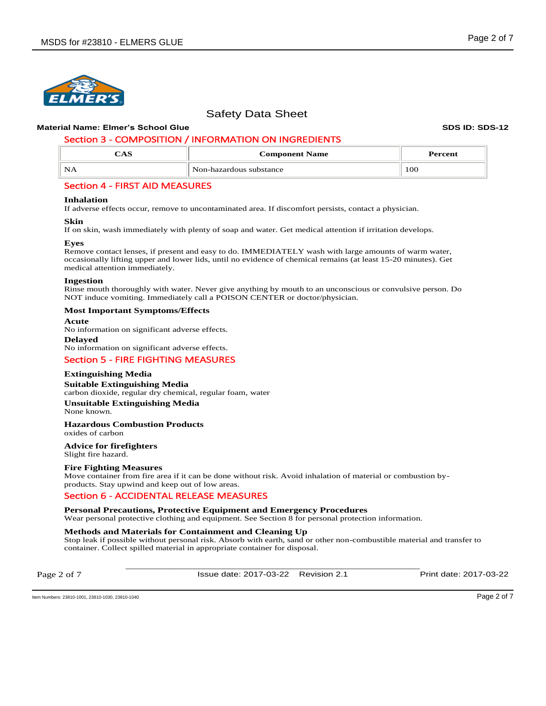## **Material Name: Elmer's School Glue SDS ID: SDS-12**

# Section 3 - COMPOSITION / INFORMATION ON INGREDIENTS

| د د د | <b>Component Name</b>   | Percent |  |  |
|-------|-------------------------|---------|--|--|
| NA    | Non-hazardous substance | 100     |  |  |

## Section 4 - FIRST AID MEASURES

## **Inhalation**

If adverse effects occur, remove to uncontaminated area. If discomfort persists, contact a physician.

## **Skin**

If on skin, wash immediately with plenty of soap and water. Get medical attention if irritation develops.

## **Eyes**

Remove contact lenses, if present and easy to do. IMMEDIATELY wash with large amounts of warm water, occasionally lifting upper and lower lids, until no evidence of chemical remains (at least 15-20 minutes). Get medical attention immediately.

## **Ingestion**

Rinse mouth thoroughly with water. Never give anything by mouth to an unconscious or convulsive person. Do NOT induce vomiting. Immediately call a POISON CENTER or doctor/physician.

## **Most Important Symptoms/Effects**

#### **Acute**

No information on significant adverse effects.

**Delayed**  No information on significant adverse effects.

# Section 5 - FIRE FIGHTING MEASURES

## **Extinguishing Media**

**Suitable Extinguishing Media** 

carbon dioxide, regular dry chemical, regular foam, water **Unsuitable Extinguishing Media**

None known.

# **Hazardous Combustion Products**

oxides of carbon

# **Advice for firefighters**

Slight fire hazard.

## **Fire Fighting Measures**

Move container from fire area if it can be done without risk. Avoid inhalation of material or combustion byproducts. Stay upwind and keep out of low areas.

## Section 6 - ACCIDENTAL RELEASE MEASURES

**Personal Precautions, Protective Equipment and Emergency Procedures** 

Wear personal protective clothing and equipment. See Section 8 for personal protection information.

## **Methods and Materials for Containment and Cleaning Up**

Stop leak if possible without personal risk. Absorb with earth, sand or other non-combustible material and transfer to container. Collect spilled material in appropriate container for disposal.

Page 2 of 7

\_\_\_\_\_\_\_\_\_\_\_\_\_\_\_\_\_\_\_\_\_\_\_\_\_\_\_\_\_\_\_\_\_\_\_\_\_\_\_\_\_\_\_\_\_\_\_\_\_\_\_\_\_\_\_\_\_\_\_\_ Issue date: 2017-03-22 Revision 2.1 Print date: 2017-03-22

Item Numbers: 23810-1001, 23810-1030, 23810-1040 Page 2 of 7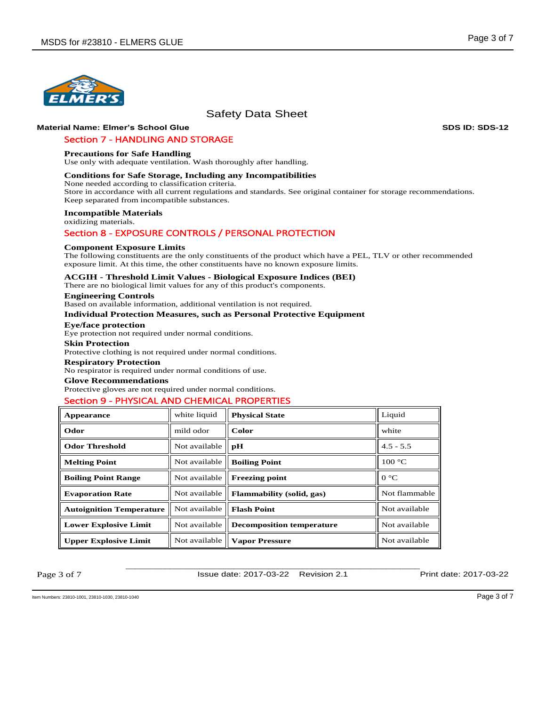

## **Material Name: Elmer's School Glue SDS ID: SDS-12**

## Section 7 - HANDLING AND STORAGE

#### **Precautions for Safe Handling**

Use only with adequate ventilation. Wash thoroughly after handling.

### **Conditions for Safe Storage, Including any Incompatibilities**

None needed according to classification criteria.

Store in accordance with all current regulations and standards. See original container for storage recommendations. Keep separated from incompatible substances.

#### **Incompatible Materials**

oxidizing materials.

## Section 8 - EXPOSURE CONTROLS / PERSONAL PROTECTION

#### **Component Exposure Limits**

The following constituents are the only constituents of the product which have a PEL, TLV or other recommended exposure limit. At this time, the other constituents have no known exposure limits.

## **ACGIH - Threshold Limit Values - Biological Exposure Indices (BEI)**

There are no biological limit values for any of this product's components.

#### **Engineering Controls**

Based on available information, additional ventilation is not required.

## **Individual Protection Measures, such as Personal Protective Equipment**

**Eye/face protection**  Eye protection not required under normal conditions.

# **Skin Protection**

Protective clothing is not required under normal conditions.

#### **Respiratory Protection**

No respirator is required under normal conditions of use.

#### **Glove Recommendations**

Protective gloves are not required under normal conditions.

## Section 9 - PHYSICAL AND CHEMICAL PROPERTIES

| Appearance                      | white liquid  | <b>Physical State</b>            | Liquid           |  |
|---------------------------------|---------------|----------------------------------|------------------|--|
| Odor                            | mild odor     | Color                            | white            |  |
| <b>Odor Threshold</b>           | Not available | pH                               | $4.5 - 5.5$      |  |
| <b>Melting Point</b>            | Not available | <b>Boiling Point</b>             | $100 \text{ °C}$ |  |
| <b>Boiling Point Range</b>      | Not available | <b>Freezing point</b>            | $0^{\circ}C$     |  |
| <b>Evaporation Rate</b>         | Not available | <b>Flammability</b> (solid, gas) | Not flammable    |  |
| <b>Autoignition Temperature</b> | Not available | <b>Flash Point</b>               | Not available    |  |
| <b>Lower Explosive Limit</b>    | Not available | <b>Decomposition temperature</b> | Not available    |  |
| <b>Upper Explosive Limit</b>    | Not available | <b>Vapor Pressure</b>            | Not available    |  |

Page 3 of 7

Issue date: 2017-03-22 Revision 2.1 Print date: 2017-03-22

\_\_\_\_\_\_\_\_\_\_\_\_\_\_\_\_\_\_\_\_\_\_\_\_\_\_\_\_\_\_\_\_\_\_\_\_\_\_\_\_\_\_\_\_\_\_\_\_\_\_\_\_\_\_\_\_\_\_\_\_

Item Numbers: 23810-1001, 23810-1030, 23810-1040 Page 3 of 7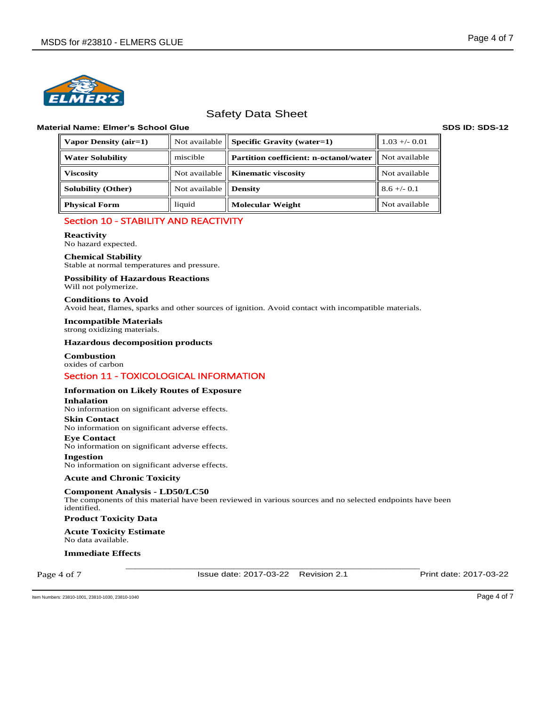

## **Material Name: Elmer's School Glue SDS ID: SDS-12**

| $\parallel$ Vapor Density (air=1) |                         | Not available $\parallel$ Specific Gravity (water=1) | $1.03 + - 0.01$  |  |
|-----------------------------------|-------------------------|------------------------------------------------------|------------------|--|
| <b>Water Solubility</b>           | miscible                | <b>Partition coefficient: n-octanol/water</b>        | ll Not available |  |
| <b>Viscosity</b>                  |                         | Not available   <b>Kinematic viscosity</b>           | Not available    |  |
| <b>Solubility (Other)</b>         | Not available   Density |                                                      | $8.6 + (-0.1)$   |  |
| <b>Physical Form</b>              | liquid                  | <b>Molecular Weight</b>                              | Not available    |  |

# Section 10 - STABILITY AND REACTIVITY

## **Reactivity**

No hazard expected.

**Chemical Stability** Stable at normal temperatures and pressure.

**Possibility of Hazardous Reactions**

Will not polymerize.

## **Conditions to Avoid**

Avoid heat, flames, sparks and other sources of ignition. Avoid contact with incompatible materials.

**Incompatible Materials** strong oxidizing materials.

## **Hazardous decomposition products**

**Combustion** oxides of carbon

# Section 11 - TOXICOLOGICAL INFORMATION

## **Information on Likely Routes of Exposure**

**Inhalation**  No information on significant adverse effects.

## **Skin Contact**

No information on significant adverse effects.

**Eye Contact**  No information on significant adverse effects.

**Ingestion** 

No information on significant adverse effects.

## **Acute and Chronic Toxicity**

**Component Analysis - LD50/LC50**  The components of this material have been reviewed in various sources and no selected endpoints have been identified.

## **Product Toxicity Data**

**Acute Toxicity Estimate**  No data available.

**Immediate Effects** 

Page 4 of 7

\_\_\_\_\_\_\_\_\_\_\_\_\_\_\_\_\_\_\_\_\_\_\_\_\_\_\_\_\_\_\_\_\_\_\_\_\_\_\_\_\_\_\_\_\_\_\_\_\_\_\_\_\_\_\_\_\_\_\_\_ Issue date: 2017-03-22 Revision 2.1 Print date: 2017-03-22

Item Numbers: 23810-1001, 23810-1030, 23810-1040 Page 4 of 7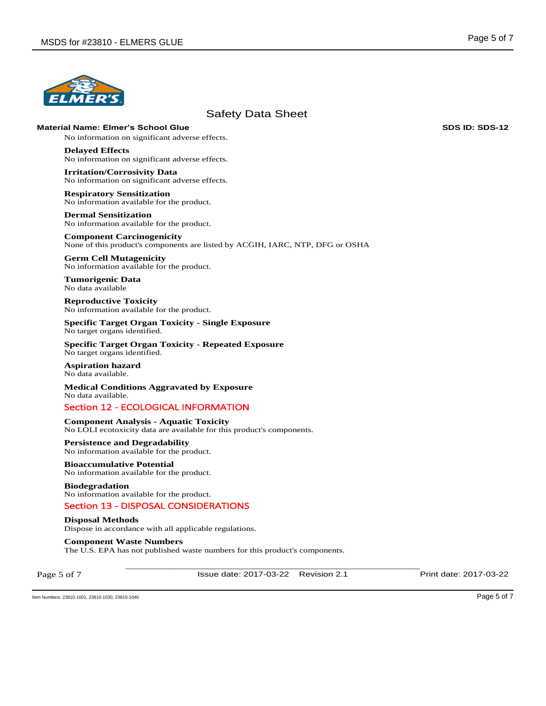

**Material Name: Elmer's School Glue SDS ID: SDS-12**

No information on significant adverse effects.

**Delayed Effects**  No information on significant adverse effects.

**Irritation/Corrosivity Data**  No information on significant adverse effects.

**Respiratory Sensitization**  No information available for the product.

**Dermal Sensitization**  No information available for the product.

**Component Carcinogenicity**  None of this product's components are listed by ACGIH, IARC, NTP, DFG or OSHA

**Germ Cell Mutagenicity**  No information available for the product.

**Tumorigenic Data**  No data available

**Reproductive Toxicity**  No information available for the product.

**Specific Target Organ Toxicity - Single Exposure**  No target organs identified.

**Specific Target Organ Toxicity - Repeated Exposure**  No target organs identified.

**Aspiration hazard**  No data available.

**Medical Conditions Aggravated by Exposure** No data available.

# Section 12 - ECOLOGICAL INFORMATION

**Component Analysis - Aquatic Toxicity** No LOLI ecotoxicity data are available for this product's components.

**Persistence and Degradability**  No information available for the product.

**Bioaccumulative Potential**  No information available for the product.

**Biodegradation**  No information available for the product.

Section 13 - DISPOSAL CONSIDERATIONS

**Disposal Methods**

Dispose in accordance with all applicable regulations.

**Component Waste Numbers** 

The U.S. EPA has not published waste numbers for this product's components.

Page 5 of 7

\_\_\_\_\_\_\_\_\_\_\_\_\_\_\_\_\_\_\_\_\_\_\_\_\_\_\_\_\_\_\_\_\_\_\_\_\_\_\_\_\_\_\_\_\_\_\_\_\_\_\_\_\_\_\_\_\_\_\_\_ Issue date: 2017-03-22 Revision 2.1 Print date: 2017-03-22

Item Numbers: 23810-1001, 23810-1030, 23810-1040 Page 5 of 7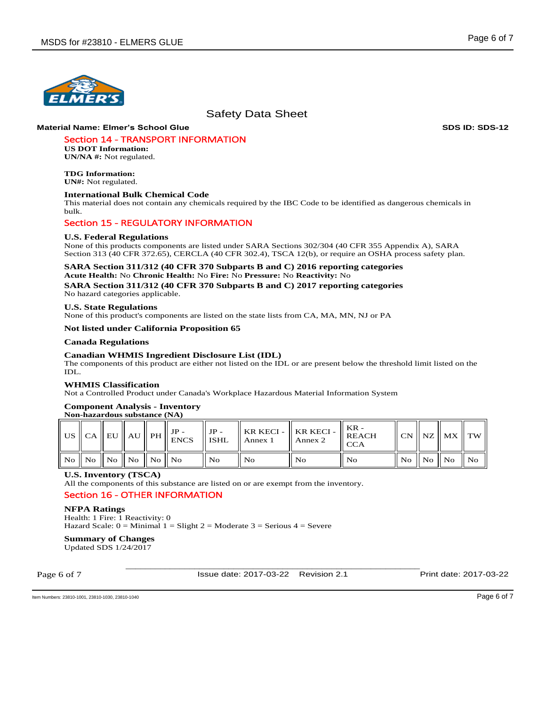

## **Material Name: Elmer's School Glue SDS ID: SDS-12**

# Section 14 - TRANSPORT INFORMATION

**US DOT Information: UN/NA #:** Not regulated.

**TDG Information: UN#:** Not regulated.

## **International Bulk Chemical Code**

This material does not contain any chemicals required by the IBC Code to be identified as dangerous chemicals in bulk.

## Section 15 - REGULATORY INFORMATION

#### **U.S. Federal Regulations**

None of this products components are listed under SARA Sections 302/304 (40 CFR 355 Appendix A), SARA Section 313 (40 CFR 372.65), CERCLA (40 CFR 302.4), TSCA 12(b), or require an OSHA process safety plan.

#### **SARA Section 311/312 (40 CFR 370 Subparts B and C) 2016 reporting categories Acute Health:** No **Chronic Health:** No **Fire:** No **Pressure:** No **Reactivity:** No

**SARA Section 311/312 (40 CFR 370 Subparts B and C) 2017 reporting categories**  No hazard categories applicable.

#### **U.S. State Regulations**

None of this product's components are listed on the state lists from CA, MA, MN, NJ or PA

## **Not listed under California Proposition 65**

## **Canada Regulations**

## **Canadian WHMIS Ingredient Disclosure List (IDL)**

The components of this product are either not listed on the IDL or are present below the threshold limit listed on the IDL.

#### **WHMIS Classification**

Not a Controlled Product under Canada's Workplace Hazardous Material Information System

## **Component Analysis - Inventory**

## **Non-hazardous substance (NA)**

|  |                                  | US $\ $ CA $\ $ EU $\ $ AU $\ $ PH $\ $ $_{\text{ENCS}}^{3r}$ $\ $ $\cdots$ | JP -<br>$\parallel$ ISHL | $\blacksquare$ Annex 1 | Annex 2 | $\parallel$ KR KECI - $\parallel$ KR KECI - $\parallel$ REACH<br><b>CCA</b> |                 | $\ $ CN $\ $ NZ $\ $ MX $\ $ TW $\ $ |                |
|--|----------------------------------|-----------------------------------------------------------------------------|--------------------------|------------------------|---------|-----------------------------------------------------------------------------|-----------------|--------------------------------------|----------------|
|  | No    No    No    No    No    No |                                                                             | - No                     | l No                   | No      | l No                                                                        | ll Noll Noll No |                                      | $\parallel$ No |

## **U.S. Inventory (TSCA)**

All the components of this substance are listed on or are exempt from the inventory.

## Section 16 - OTHER INFORMATION

#### **NFPA Ratings**

Health: 1 Fire: 1 Reactivity: 0 Hazard Scale:  $0 =$  Minimal  $1 =$  Slight  $2 =$  Moderate  $3 =$  Serious  $4 =$  Severe

# **Summary of Changes**

Updated SDS 1/24/2017

Page 6 of 7

Issue date: 2017-03-22 Revision 2.1 Print date: 2017-03-22

\_\_\_\_\_\_\_\_\_\_\_\_\_\_\_\_\_\_\_\_\_\_\_\_\_\_\_\_\_\_\_\_\_\_\_\_\_\_\_\_\_\_\_\_\_\_\_\_\_\_\_\_\_\_\_\_\_\_\_\_

Item Numbers: 23810-1001, 23810-1030, 23810-1040 Page 6 of 7